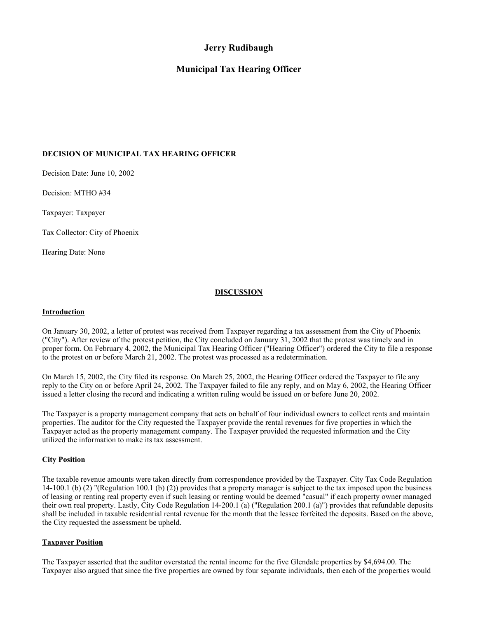# **Jerry Rudibaugh**

## **Municipal Tax Hearing Officer**

## **DECISION OF MUNICIPAL TAX HEARING OFFICER**

Decision Date: June 10, 2002

Decision: MTHO #34

Taxpayer: Taxpayer

Tax Collector: City of Phoenix

Hearing Date: None

## **DISCUSSION**

#### **Introduction**

On January 30, 2002, a letter of protest was received from Taxpayer regarding a tax assessment from the City of Phoenix ("City"). After review of the protest petition, the City concluded on January 31, 2002 that the protest was timely and in proper form. On February 4, 2002, the Municipal Tax Hearing Officer ("Hearing Officer") ordered the City to file a response to the protest on or before March 21, 2002. The protest was processed as a redetermination.

On March 15, 2002, the City filed its response. On March 25, 2002, the Hearing Officer ordered the Taxpayer to file any reply to the City on or before April 24, 2002. The Taxpayer failed to file any reply, and on May 6, 2002, the Hearing Officer issued a letter closing the record and indicating a written ruling would be issued on or before June 20, 2002.

The Taxpayer is a property management company that acts on behalf of four individual owners to collect rents and maintain properties. The auditor for the City requested the Taxpayer provide the rental revenues for five properties in which the Taxpayer acted as the property management company. The Taxpayer provided the requested information and the City utilized the information to make its tax assessment.

## **City Position**

The taxable revenue amounts were taken directly from correspondence provided by the Taxpayer. City Tax Code Regulation 14-100.1 (b) (2) "(Regulation 100.1 (b) (2)) provides that a property manager is subject to the tax imposed upon the business of leasing or renting real property even if such leasing or renting would be deemed "casual" if each property owner managed their own real property. Lastly, City Code Regulation 14-200.1 (a) ("Regulation 200.1 (a)") provides that refundable deposits shall be included in taxable residential rental revenue for the month that the lessee forfeited the deposits. Based on the above, the City requested the assessment be upheld.

## **Taxpayer Position**

The Taxpayer asserted that the auditor overstated the rental income for the five Glendale properties by \$4,694.00. The Taxpayer also argued that since the five properties are owned by four separate individuals, then each of the properties would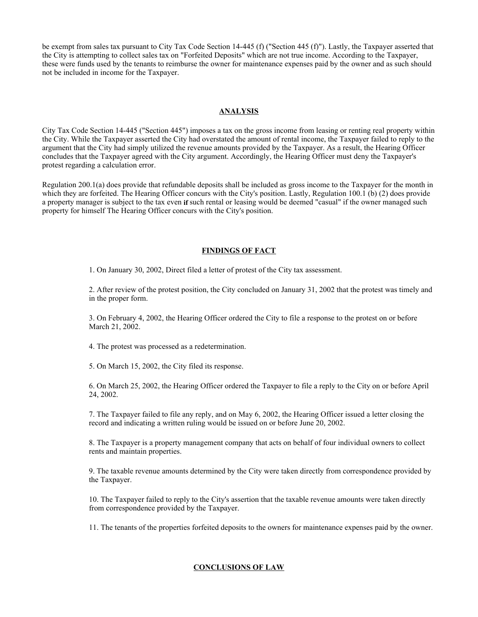be exempt from sales tax pursuant to City Tax Code Section 14-445 (f) ("Section 445 (f)"). Lastly, the Taxpayer asserted that the City is attempting to collect sales tax on "Forfeited Deposits" which are not true income. According to the Taxpayer, these were funds used by the tenants to reimburse the owner for maintenance expenses paid by the owner and as such should not be included in income for the Taxpayer.

#### **ANALYSIS**

City Tax Code Section 14-445 ("Section 445") imposes a tax on the gross income from leasing or renting real property within the City. While the Taxpayer asserted the City had overstated the amount of rental income, the Taxpayer failed to reply to the argument that the City had simply utilized the revenue amounts provided by the Taxpayer. As a result, the Hearing Officer concludes that the Taxpayer agreed with the City argument. Accordingly, the Hearing Officer must deny the Taxpayer's protest regarding a calculation error.

Regulation 200.1(a) does provide that refundable deposits shall be included as gross income to the Taxpayer for the month in which they are forfeited. The Hearing Officer concurs with the City's position. Lastly, Regulation 100.1 (b) (2) does provide a property manager is subject to the tax even **if** such rental or leasing would be deemed "casual" if the owner managed such property for himself The Hearing Officer concurs with the City's position.

#### **FINDINGS OF FACT**

1. On January 30, 2002, Direct filed a letter of protest of the City tax assessment.

2. After review of the protest position, the City concluded on January 31, 2002 that the protest was timely and in the proper form.

3. On February 4, 2002, the Hearing Officer ordered the City to file a response to the protest on or before March 21, 2002.

4. The protest was processed as a redetermination.

5. On March 15, 2002, the City filed its response.

6. On March 25, 2002, the Hearing Officer ordered the Taxpayer to file a reply to the City on or before April 24, 2002.

7. The Taxpayer failed to file any reply, and on May 6, 2002, the Hearing Officer issued a letter closing the record and indicating a written ruling would be issued on or before June 20, 2002.

8. The Taxpayer is a property management company that acts on behalf of four individual owners to collect rents and maintain properties.

9. The taxable revenue amounts determined by the City were taken directly from correspondence provided by the Taxpayer.

10. The Taxpayer failed to reply to the City's assertion that the taxable revenue amounts were taken directly from correspondence provided by the Taxpayer.

11. The tenants of the properties forfeited deposits to the owners for maintenance expenses paid by the owner.

#### **CONCLUSIONS OF LAW**